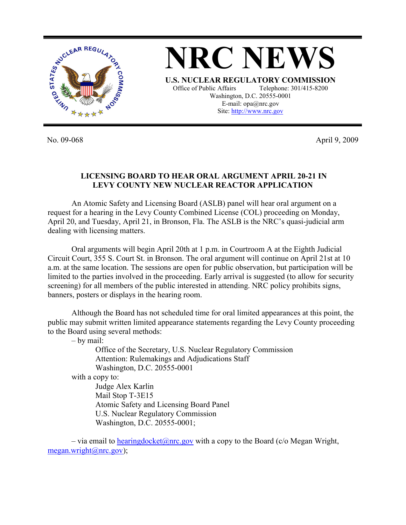

No. 09-068 April 9, 2009

## **LICENSING BOARD TO HEAR ORAL ARGUMENT APRIL 20-21 IN LEVY COUNTY NEW NUCLEAR REACTOR APPLICATION**

 An Atomic Safety and Licensing Board (ASLB) panel will hear oral argument on a request for a hearing in the Levy County Combined License (COL) proceeding on Monday, April 20, and Tuesday, April 21, in Bronson, Fla. The ASLB is the NRC's quasi-judicial arm dealing with licensing matters.

 Oral arguments will begin April 20th at 1 p.m. in Courtroom A at the Eighth Judicial Circuit Court, 355 S. Court St. in Bronson. The oral argument will continue on April 21st at 10 a.m. at the same location. The sessions are open for public observation, but participation will be limited to the parties involved in the proceeding. Early arrival is suggested (to allow for security screening) for all members of the public interested in attending. NRC policy prohibits signs, banners, posters or displays in the hearing room.

 Although the Board has not scheduled time for oral limited appearances at this point, the public may submit written limited appearance statements regarding the Levy County proceeding to the Board using several methods:

– by mail:

 Office of the Secretary, U.S. Nuclear Regulatory Commission Attention: Rulemakings and Adjudications Staff Washington, D.C. 20555-0001 with a copy to: Judge Alex Karlin

 Mail Stop T-3E15 Atomic Safety and Licensing Board Panel U.S. Nuclear Regulatory Commission Washington, D.C. 20555-0001;

– via email to hearing docket  $\omega$  nrc.gov with a copy to the Board (c/o Megan Wright,  $megan.wright@nrc.gov);$